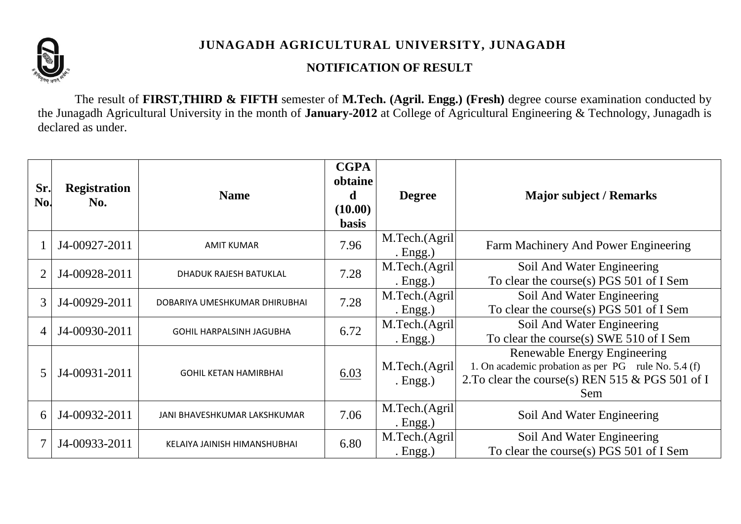

## **JUNAGADH AGRICULTURAL UNIVERSITY, JUNAGADH**

## **NOTIFICATION OF RESULT**

The result of **FIRST,THIRD & FIFTH** semester of **M.Tech. (Agril. Engg.) (Fresh)** degree course examination conducted by the Junagadh Agricultural University in the month of **January-2012** at College of Agricultural Engineering & Technology, Junagadh is declared as under.

| Sr.<br>No.     | <b>Registration</b><br>No. | <b>Name</b>                     | <b>CGPA</b><br>obtaine<br><sub>d</sub><br>(10.00)<br><b>basis</b> | <b>Degree</b>                | <b>Major subject / Remarks</b>                                                                                                                 |
|----------------|----------------------------|---------------------------------|-------------------------------------------------------------------|------------------------------|------------------------------------------------------------------------------------------------------------------------------------------------|
|                | J4-00927-2011              | <b>AMIT KUMAR</b>               | 7.96                                                              | M.Tech.(Agril<br>. $Engg.)$  | Farm Machinery And Power Engineering                                                                                                           |
|                | J4-00928-2011              | DHADUK RAJESH BATUKLAL          | 7.28                                                              | M.Tech.(Agril<br>. Engg.)    | Soil And Water Engineering<br>To clear the course(s) $PGS$ 501 of I Sem                                                                        |
| 3              | J4-00929-2011              | DOBARIYA UMESHKUMAR DHIRUBHAI   | 7.28                                                              | M.Tech.(Agril<br>Engg.)      | Soil And Water Engineering<br>To clear the course(s) PGS 501 of I Sem                                                                          |
| $\overline{4}$ | J4-00930-2011              | <b>GOHIL HARPALSINH JAGUBHA</b> | 6.72                                                              | M.Tech.(Agril)<br>. $Engg.)$ | Soil And Water Engineering<br>To clear the course(s) SWE 510 of I Sem                                                                          |
| 5              | J4-00931-2011              | <b>GOHIL KETAN HAMIRBHAI</b>    | 6.03                                                              | M.Tech.(Agril<br>. Engg.)    | Renewable Energy Engineering<br>1. On academic probation as per PG rule No. 5.4 (f)<br>2. To clear the course(s) REN 515 & PGS 501 of I<br>Sem |
| 6              | J4-00932-2011              | JANI BHAVESHKUMAR LAKSHKUMAR    | 7.06                                                              | M.Tech.(Agril<br>Engg.)      | Soil And Water Engineering                                                                                                                     |
|                | J4-00933-2011              | KELAIYA JAINISH HIMANSHUBHAI    | 6.80                                                              | M.Tech.(Agril<br>. $Engg.)$  | Soil And Water Engineering<br>To clear the course(s) PGS 501 of I Sem                                                                          |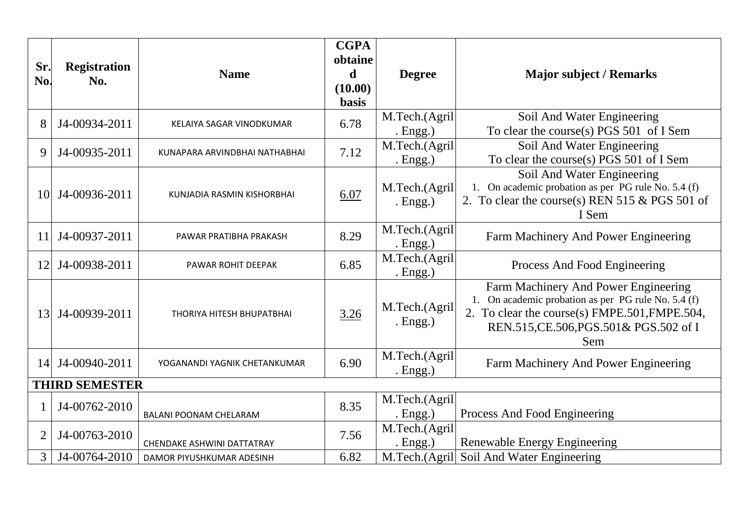| Sr.<br>No.            | <b>Registration</b><br>No. | <b>Name</b>                      | <b>CGPA</b><br>obtaine<br>d<br>(10.00)<br><b>basis</b> | <b>Degree</b>               | <b>Major subject / Remarks</b>                                                                                                                                                                |  |
|-----------------------|----------------------------|----------------------------------|--------------------------------------------------------|-----------------------------|-----------------------------------------------------------------------------------------------------------------------------------------------------------------------------------------------|--|
| 8                     | J4-00934-2011              | KELAIYA SAGAR VINODKUMAR         | 6.78                                                   | M.Tech.(Agril<br>. $Engg.)$ | Soil And Water Engineering<br>To clear the course(s) PGS 501 of I Sem                                                                                                                         |  |
| 9                     | J4-00935-2011              | KUNAPARA ARVINDBHAI NATHABHAI    | 7.12                                                   | M.Tech.(Agril<br>. $Engg.)$ | Soil And Water Engineering<br>To clear the course(s) PGS 501 of I Sem                                                                                                                         |  |
| 10                    | J4-00936-2011              | KUNJADIA RASMIN KISHORBHAI       | 6.07                                                   | M.Tech.(Agril<br>. $Engg.)$ | Soil And Water Engineering<br>1. On academic probation as per PG rule No. 5.4 (f)<br>2. To clear the course(s) REN 515 $& PGS$ 501 of<br>I Sem                                                |  |
| 11                    | J4-00937-2011              | PAWAR PRATIBHA PRAKASH           | 8.29                                                   | M.Tech.(Agril<br>. Engg.)   | Farm Machinery And Power Engineering                                                                                                                                                          |  |
| 12                    | J4-00938-2011              | PAWAR ROHIT DEEPAK               | 6.85                                                   | M.Tech.(Agril<br>. $Engg.)$ | Process And Food Engineering                                                                                                                                                                  |  |
| 13                    | J4-00939-2011              | <b>THORIYA HITESH BHUPATBHAI</b> | 3.26                                                   | M.Tech.(Agril<br>. Engg.)   | Farm Machinery And Power Engineering<br>1. On academic probation as per PG rule No. 5.4 (f)<br>2. To clear the course(s) FMPE.501, FMPE.504,<br>REN.515, CE.506, PGS.501& PGS.502 of I<br>Sem |  |
| 14                    | J4-00940-2011              | YOGANANDI YAGNIK CHETANKUMAR     | 6.90                                                   | M.Tech.(Agril<br>. $Engg.)$ | Farm Machinery And Power Engineering                                                                                                                                                          |  |
| <b>THIRD SEMESTER</b> |                            |                                  |                                                        |                             |                                                                                                                                                                                               |  |
|                       | J4-00762-2010              | <b>BALANI POONAM CHELARAM</b>    | 8.35                                                   | M.Tech.(Agril<br>. $Engg.)$ | Process And Food Engineering                                                                                                                                                                  |  |
| $\overline{2}$        | J4-00763-2010              | CHENDAKE ASHWINI DATTATRAY       | 7.56                                                   | M.Tech.(Agril<br>. $Engg.)$ | Renewable Energy Engineering                                                                                                                                                                  |  |
| 3                     | J4-00764-2010              | DAMOR PIYUSHKUMAR ADESINH        | 6.82                                                   | M.Tech.(Agril               | Soil And Water Engineering                                                                                                                                                                    |  |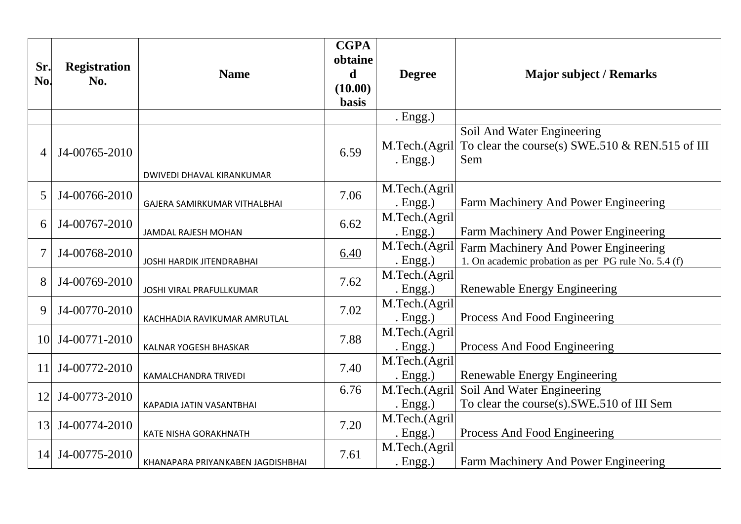| Sr.<br>No.     | <b>Registration</b><br>No. | <b>Name</b>                       | <b>CGPA</b><br>obtaine<br>d<br>(10.00)<br><b>basis</b> | <b>Degree</b>                | <b>Major subject / Remarks</b>                                                              |
|----------------|----------------------------|-----------------------------------|--------------------------------------------------------|------------------------------|---------------------------------------------------------------------------------------------|
|                |                            |                                   |                                                        | . $Engg.)$                   |                                                                                             |
| $\overline{A}$ | J4-00765-2010              | DWIVEDI DHAVAL KIRANKUMAR         | 6.59                                                   | M.Tech.(Agril<br>. $Engg.)$  | Soil And Water Engineering<br>To clear the course(s) SWE.510 $&$ REN.515 of III<br>Sem      |
| 5              | J4-00766-2010              |                                   | 7.06                                                   | M.Tech.(Agril                |                                                                                             |
|                |                            | GAJERA SAMIRKUMAR VITHALBHAI      |                                                        | . $Engg.)$<br>M.Tech.(Agril  | Farm Machinery And Power Engineering                                                        |
| 6              | J4-00767-2010              | JAMDAL RAJESH MOHAN               | 6.62                                                   | . $Engg.)$                   | Farm Machinery And Power Engineering                                                        |
| $\overline{7}$ | J4-00768-2010              | <b>JOSHI HARDIK JITENDRABHAI</b>  | 6.40                                                   | M.Tech.(Agril<br>. $Engg.)$  | Farm Machinery And Power Engineering<br>1. On academic probation as per PG rule No. 5.4 (f) |
| 8              | J4-00769-2010              | JOSHI VIRAL PRAFULLKUMAR          | 7.62                                                   | M.Tech.(Agril<br>. $Engg.)$  | Renewable Energy Engineering                                                                |
| 9              | J4-00770-2010              | KACHHADIA RAVIKUMAR AMRUTLAL      | 7.02                                                   | M.Tech.(Agril<br>. $Engg.)$  | Process And Food Engineering                                                                |
| 10             | J4-00771-2010              | <b>KALNAR YOGESH BHASKAR</b>      | 7.88                                                   | M.Tech.(Agril<br>. $Engg.)$  | Process And Food Engineering                                                                |
| 11             | J4-00772-2010              | KAMALCHANDRA TRIVEDI              | 7.40                                                   | M.Tech.(Agril<br>. $Engg.)$  | Renewable Energy Engineering                                                                |
| 12             | J4-00773-2010              | KAPADIA JATIN VASANTBHAI          | 6.76                                                   | M.Tech.(Agril<br>. $Engg.)$  | Soil And Water Engineering<br>To clear the course(s).SWE.510 of III Sem                     |
| 13             | J4-00774-2010              | KATE NISHA GORAKHNATH             | 7.20                                                   | M.Tech.(Agril<br>. $Engg.)$  | Process And Food Engineering                                                                |
| 14             | J4-00775-2010              | KHANAPARA PRIYANKABEN JAGDISHBHAI | 7.61                                                   | M.Tech.(Agril<br>. $Engg.$ ) | Farm Machinery And Power Engineering                                                        |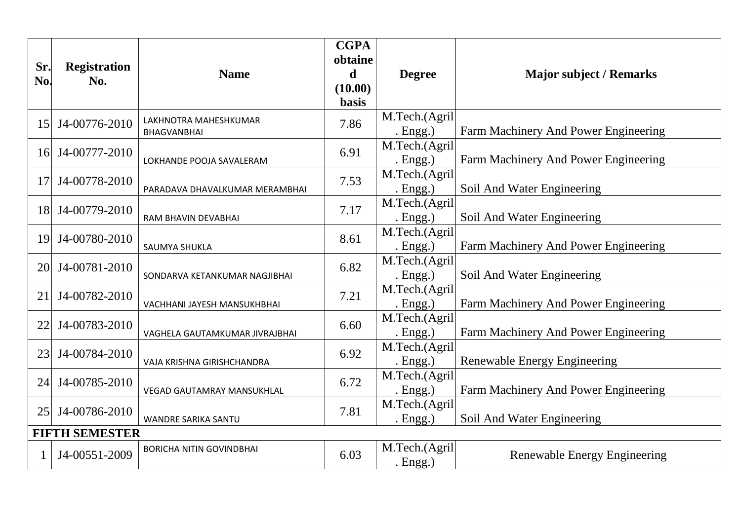| Sr.<br>No. | <b>Registration</b><br>No. | <b>Name</b>                                 | <b>CGPA</b><br>obtaine<br>d<br>(10.00)<br><b>basis</b> | <b>Degree</b>                | <b>Major subject / Remarks</b>       |  |  |
|------------|----------------------------|---------------------------------------------|--------------------------------------------------------|------------------------------|--------------------------------------|--|--|
| 15         | J4-00776-2010              | LAKHNOTRA MAHESHKUMAR<br><b>BHAGVANBHAI</b> | 7.86                                                   | M.Tech.(Agril<br>. $Engg.)$  | Farm Machinery And Power Engineering |  |  |
| 16         | J4-00777-2010              | LOKHANDE POOJA SAVALERAM                    | 6.91                                                   | M.Tech.(Agril<br>. $Engg.)$  | Farm Machinery And Power Engineering |  |  |
| 17         | J4-00778-2010              | PARADAVA DHAVALKUMAR MERAMBHAI              | 7.53                                                   | M.Tech.(Agril<br>. $Engg.)$  | Soil And Water Engineering           |  |  |
| 18         | J4-00779-2010              | RAM BHAVIN DEVABHAI                         | 7.17                                                   | M.Tech.(Agril<br>. $Engg.$ ) | Soil And Water Engineering           |  |  |
| 19         | J4-00780-2010              | SAUMYA SHUKLA                               | 8.61                                                   | M.Tech.(Agril<br>. $Engg.)$  | Farm Machinery And Power Engineering |  |  |
| 20         | J4-00781-2010              | SONDARVA KETANKUMAR NAGJIBHAI               | 6.82                                                   | M.Tech.(Agril<br>. $Engg.)$  | Soil And Water Engineering           |  |  |
| 21         | J4-00782-2010              | VACHHANI JAYESH MANSUKHBHAI                 | 7.21                                                   | M.Tech.(Agril<br>. $Engg.)$  | Farm Machinery And Power Engineering |  |  |
| 22         | J4-00783-2010              | VAGHELA GAUTAMKUMAR JIVRAJBHAI              | 6.60                                                   | M.Tech.(Agril<br>. $Engg.)$  | Farm Machinery And Power Engineering |  |  |
| 23         | J4-00784-2010              | VAJA KRISHNA GIRISHCHANDRA                  | 6.92                                                   | M.Tech.(Agril<br>. $Engg.)$  | Renewable Energy Engineering         |  |  |
| 24         | J4-00785-2010              | <b>VEGAD GAUTAMRAY MANSUKHLAL</b>           | 6.72                                                   | M.Tech.(Agril<br>. Engg.)    | Farm Machinery And Power Engineering |  |  |
| 25         | J4-00786-2010              | WANDRE SARIKA SANTU                         | 7.81                                                   | M.Tech.(Agril<br>. $Engg.)$  | Soil And Water Engineering           |  |  |
|            | <b>FIFTH SEMESTER</b>      |                                             |                                                        |                              |                                      |  |  |
|            | J4-00551-2009              | <b>BORICHA NITIN GOVINDBHAI</b>             | 6.03                                                   | M.Tech.(Agril<br>. Engg.)    | Renewable Energy Engineering         |  |  |